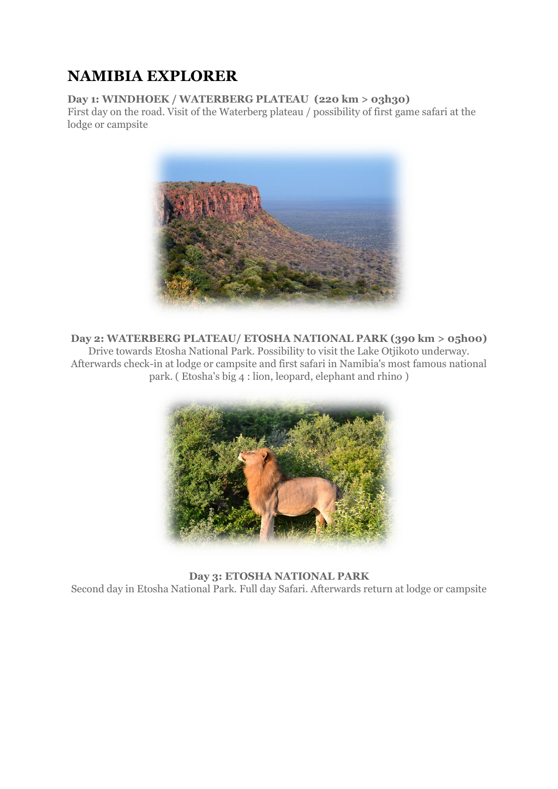# **NAMIBIA EXPLORER**

## **Day 1: WINDHOEK / WATERBERG PLATEAU (220 km > 03h30)**

First day on the road. Visit of the Waterberg plateau / possibility of first game safari at the lodge or campsite



**Day 2: WATERBERG PLATEAU/ ETOSHA NATIONAL PARK (390 km > 05h00)** Drive towards Etosha National Park. Possibility to visit the Lake Otjikoto underway. Afterwards check-in at lodge or campsite and first safari in Namibia's most famous national park. ( Etosha's big 4 : lion, leopard, elephant and rhino )



**Day 3: ETOSHA NATIONAL PARK** Second day in Etosha National Park. Full day Safari. Afterwards return at lodge or campsite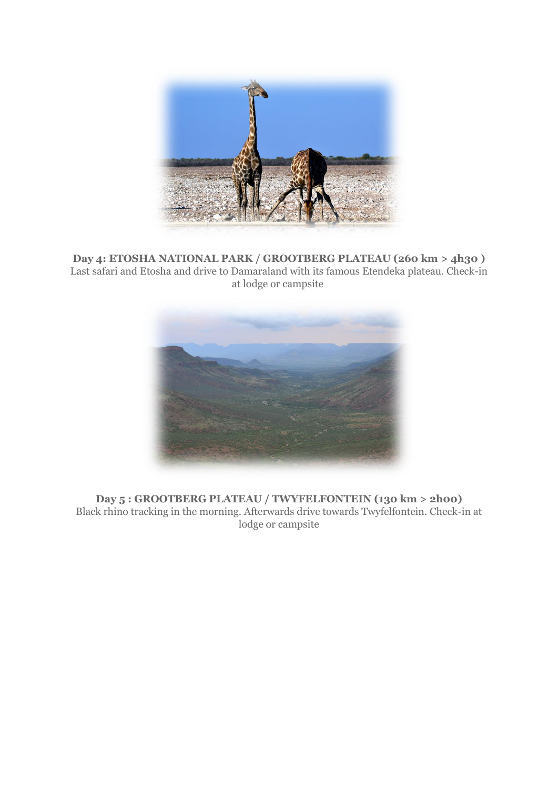

**Day 4: ETOSHA NATIONAL PARK / GROOTBERG PLATEAU (260 km > 4h30 )** Last safari and Etosha and drive to Damaraland with its famous Etendeka plateau. Check-in at lodge or campsite



**Day 5 : GROOTBERG PLATEAU / TWYFELFONTEIN (130 km > 2h00)** Black rhino tracking in the morning. Afterwards drive towards Twyfelfontein. Check-in at lodge or campsite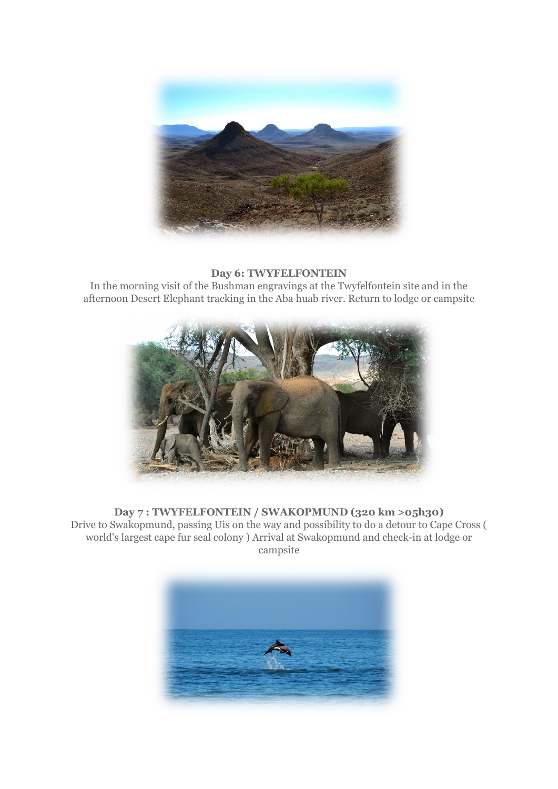

## **Day 6: TWYFELFONTEIN**

In the morning visit of the Bushman engravings at the Twyfelfontein site and in the afternoon Desert Elephant tracking in the Aba huab river. Return to lodge or campsite



### **Day 7 : TWYFELFONTEIN / SWAKOPMUND (320 km >05h30)**

Drive to Swakopmund, passing Uis on the way and possibility to do a detour to Cape Cross ( world's largest cape fur seal colony ) Arrival at Swakopmund and check-in at lodge or campsite

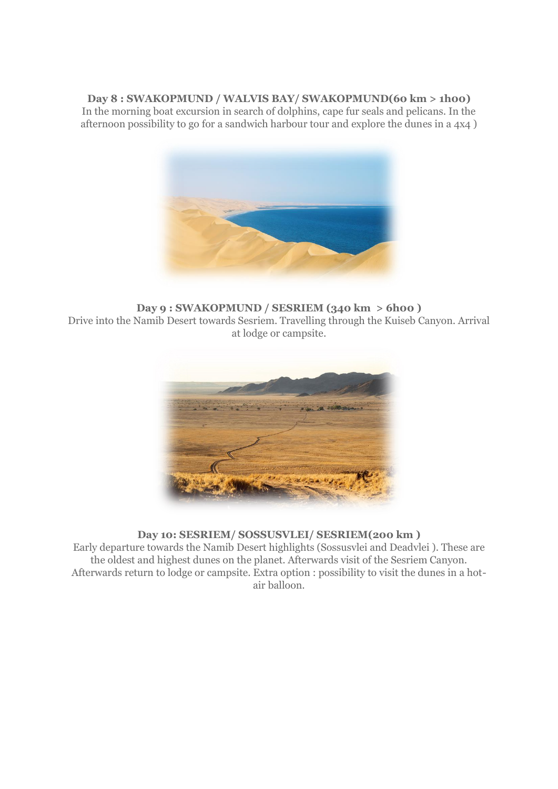### **Day 8 : SWAKOPMUND / WALVIS BAY/ SWAKOPMUND(60 km > 1h00)**

In the morning boat excursion in search of dolphins, cape fur seals and pelicans. In the afternoon possibility to go for a sandwich harbour tour and explore the dunes in a 4x4 )



**Day 9 : SWAKOPMUND / SESRIEM (340 km > 6h00 )** Drive into the Namib Desert towards Sesriem. Travelling through the Kuiseb Canyon. Arrival at lodge or campsite.



#### **Day 10: SESRIEM/ SOSSUSVLEI/ SESRIEM(200 km )**

Early departure towards the Namib Desert highlights (Sossusvlei and Deadvlei ). These are the oldest and highest dunes on the planet. Afterwards visit of the Sesriem Canyon. Afterwards return to lodge or campsite. Extra option : possibility to visit the dunes in a hotair balloon.